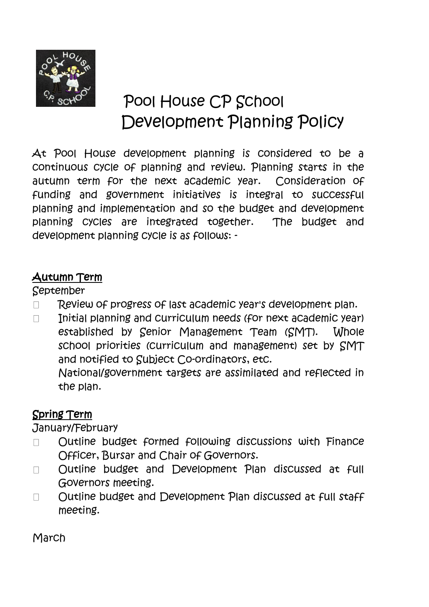

# Pool House CP School Development Planning Policy

At Pool House development planning is considered to be a continuous cycle of planning and review. Planning starts in the autumn term for the next academic year. Consideration of funding and government initiatives is integral to successful planning and implementation and so the budget and development planning cycles are integrated together. The budget and development planning cycle is as follows: -

## Autumn Term

#### September

- Review of progress of last academic year's development plan.  $\Box$
- Initial planning and curriculum needs (for next academic year)  $\Box$ established by Senior Management Team (SMT). Whole school priorities (curriculum and management) set by SMT and notified to Subject Co-ordinators, etc.

National/government targets are assimilated and reflected in the plan.

# Spring Term

January/February

- Outline budget formed following discussions with Finance  $\Box$ Officer, Bursar and Chair of Governors.
- Outline budget and Development Plan discussed at full  $\Box$ Governors meeting.
- Outline budget and Development Plan discussed at full staff  $\Box$ meeting.

March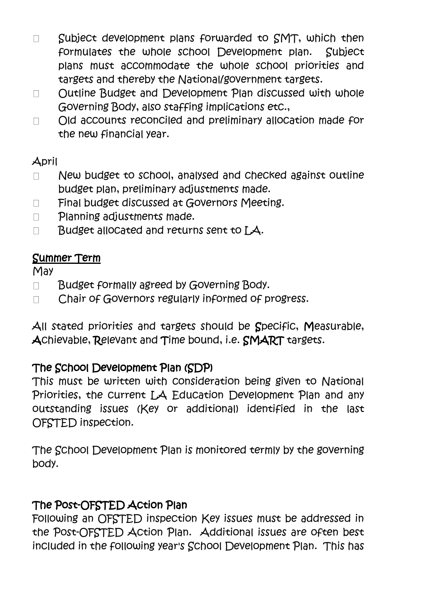- Subject development plans forwarded to SMT, which then  $\Box$ formulates the whole school Development plan. Subject plans must accommodate the whole school priorities and targets and thereby the National/government targets.
- Outline Budget and Development Plan discussed with whole  $\Box$ Governing Body, also staffing implications etc.,
- Old accounts reconciled and preliminary allocation made for  $\Box$ the new financial year.

#### April

- New budget to school, analysed and checked against outline  $\Box$ budget plan, preliminary adjustments made.
- Final budget discussed at Governors Meeting.  $\Box$
- Planning adjustments made.  $\Box$
- Budget allocated and returns sent to LA.  $\Box$

## Summer Term

#### May

- Budget formally agreed by Governing Body.  $\Box$
- Chair of Governors regularly informed of progress.  $\Box$

All stated priorities and targets should be Specific, Measurable, Achievable, Relevant and Time bound, i.e. SMART targets.

#### The School Development Plan (SDP)

This must be written with consideration being given to National Priorities, the current LA Education Development Plan and any outstanding issues (Key or additional) identified in the last OFSTED inspection.

The School Development Plan is monitored termly by the governing body.

#### The Post-OFSTED Action Plan

Following an OFSTED inspection Key issues must be addressed in the Post-OFSTED Action Plan. Additional issues are often best included in the following year's School Development Plan. This has